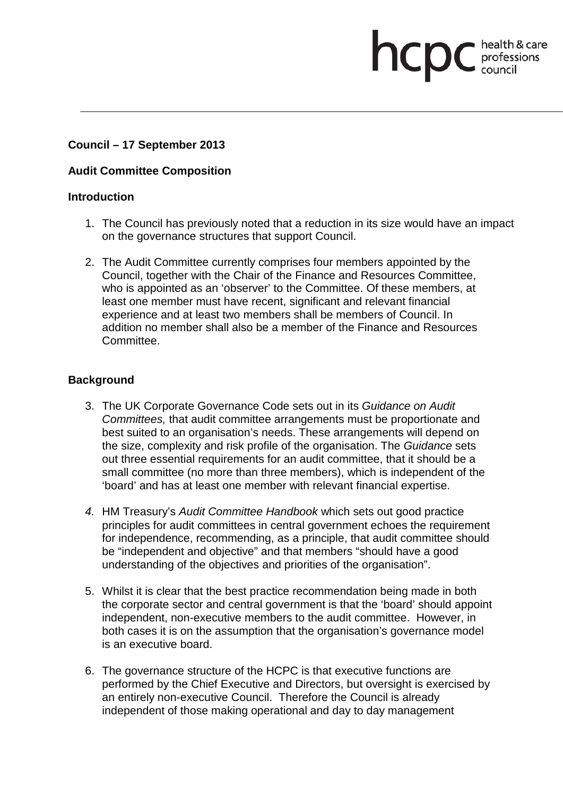# **Council – 17 September 2013**

## **Audit Committee Composition**

#### **Introduction**

1. The Council has previously noted that a reduction in its size would have an impact on the governance structures that support Council.

health & care

**health & care** 

2. The Audit Committee currently comprises four members appointed by the Council, together with the Chair of the Finance and Resources Committee, who is appointed as an 'observer' to the Committee. Of these members, at least one member must have recent, significant and relevant financial experience and at least two members shall be members of Council. In addition no member shall also be a member of the Finance and Resources Committee.

### **Background**

- 3. The UK Corporate Governance Code sets out in its *Guidance on Audit Committees,* that audit committee arrangements must be proportionate and best suited to an organisation's needs. These arrangements will depend on the size, complexity and risk profile of the organisation. The *Guidance* sets out three essential requirements for an audit committee, that it should be a small committee (no more than three members), which is independent of the 'board' and has at least one member with relevant financial expertise.
- *4.* HM Treasury's *Audit Committee Handbook* which sets out good practice principles for audit committees in central government echoes the requirement for independence, recommending, as a principle, that audit committee should be "independent and objective" and that members "should have a good understanding of the objectives and priorities of the organisation".
- 5. Whilst it is clear that the best practice recommendation being made in both the corporate sector and central government is that the 'board' should appoint independent, non-executive members to the audit committee. However, in both cases it is on the assumption that the organisation's governance model is an executive board.
- 6. The governance structure of the HCPC is that executive functions are performed by the Chief Executive and Directors, but oversight is exercised by an entirely non-executive Council. Therefore the Council is already independent of those making operational and day to day management